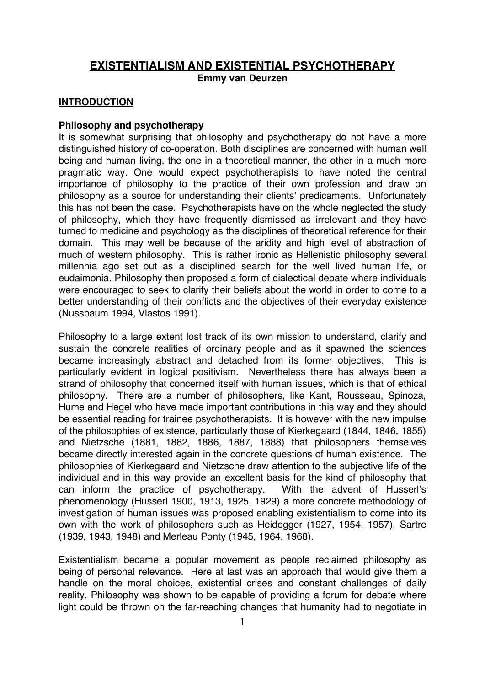# **EXISTENTIALISM AND EXISTENTIAL PSYCHOTHERAPY Emmy van Deurzen**

# **INTRODUCTION**

# **Philosophy and psychotherapy**

It is somewhat surprising that philosophy and psychotherapy do not have a more distinguished history of co-operation. Both disciplines are concerned with human well being and human living, the one in a theoretical manner, the other in a much more pragmatic way. One would expect psychotherapists to have noted the central importance of philosophy to the practice of their own profession and draw on philosophy as a source for understanding their clients' predicaments. Unfortunately this has not been the case. Psychotherapists have on the whole neglected the study of philosophy, which they have frequently dismissed as irrelevant and they have turned to medicine and psychology as the disciplines of theoretical reference for their domain. This may well be because of the aridity and high level of abstraction of much of western philosophy. This is rather ironic as Hellenistic philosophy several millennia ago set out as a disciplined search for the well lived human life, or eudaimonia. Philosophy then proposed a form of dialectical debate where individuals were encouraged to seek to clarify their beliefs about the world in order to come to a better understanding of their conflicts and the objectives of their everyday existence (Nussbaum 1994, Vlastos 1991).

Philosophy to a large extent lost track of its own mission to understand, clarify and sustain the concrete realities of ordinary people and as it spawned the sciences became increasingly abstract and detached from its former objectives. This is particularly evident in logical positivism. Nevertheless there has always been a strand of philosophy that concerned itself with human issues, which is that of ethical philosophy. There are a number of philosophers, like Kant, Rousseau, Spinoza, Hume and Hegel who have made important contributions in this way and they should be essential reading for trainee psychotherapists. It is however with the new impulse of the philosophies of existence, particularly those of Kierkegaard (1844, 1846, 1855) and Nietzsche (1881, 1882, 1886, 1887, 1888) that philosophers themselves became directly interested again in the concrete questions of human existence. The philosophies of Kierkegaard and Nietzsche draw attention to the subjective life of the individual and in this way provide an excellent basis for the kind of philosophy that can inform the practice of psychotherapy. With the advent of Husserl's phenomenology (Husserl 1900, 1913, 1925, 1929) a more concrete methodology of investigation of human issues was proposed enabling existentialism to come into its own with the work of philosophers such as Heidegger (1927, 1954, 1957), Sartre (1939, 1943, 1948) and Merleau Ponty (1945, 1964, 1968).

Existentialism became a popular movement as people reclaimed philosophy as being of personal relevance. Here at last was an approach that would give them a handle on the moral choices, existential crises and constant challenges of daily reality. Philosophy was shown to be capable of providing a forum for debate where light could be thrown on the far-reaching changes that humanity had to negotiate in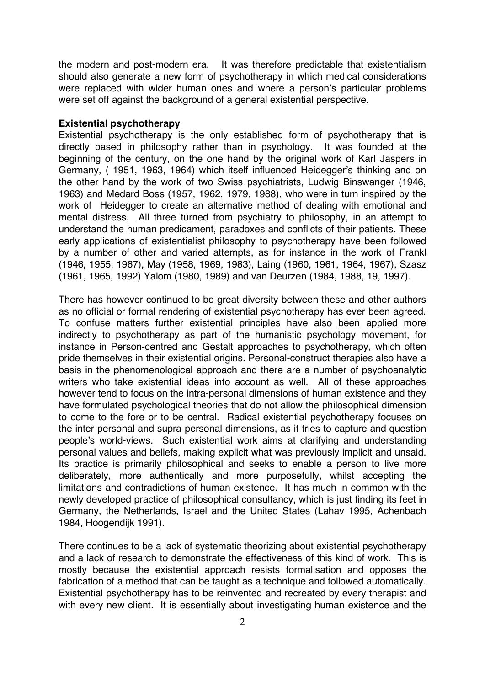the modern and post-modern era. It was therefore predictable that existentialism should also generate a new form of psychotherapy in which medical considerations were replaced with wider human ones and where a person's particular problems were set off against the background of a general existential perspective.

#### **Existential psychotherapy**

Existential psychotherapy is the only established form of psychotherapy that is directly based in philosophy rather than in psychology. It was founded at the beginning of the century, on the one hand by the original work of Karl Jaspers in Germany, ( 1951, 1963, 1964) which itself influenced Heidegger's thinking and on the other hand by the work of two Swiss psychiatrists, Ludwig Binswanger (1946, 1963) and Medard Boss (1957, 1962, 1979, 1988), who were in turn inspired by the work of Heidegger to create an alternative method of dealing with emotional and mental distress. All three turned from psychiatry to philosophy, in an attempt to understand the human predicament, paradoxes and conflicts of their patients. These early applications of existentialist philosophy to psychotherapy have been followed by a number of other and varied attempts, as for instance in the work of Frankl (1946, 1955, 1967), May (1958, 1969, 1983), Laing (1960, 1961, 1964, 1967), Szasz (1961, 1965, 1992) Yalom (1980, 1989) and van Deurzen (1984, 1988, 19, 1997).

There has however continued to be great diversity between these and other authors as no official or formal rendering of existential psychotherapy has ever been agreed. To confuse matters further existential principles have also been applied more indirectly to psychotherapy as part of the humanistic psychology movement, for instance in Person-centred and Gestalt approaches to psychotherapy, which often pride themselves in their existential origins. Personal-construct therapies also have a basis in the phenomenological approach and there are a number of psychoanalytic writers who take existential ideas into account as well. All of these approaches however tend to focus on the intra-personal dimensions of human existence and they have formulated psychological theories that do not allow the philosophical dimension to come to the fore or to be central. Radical existential psychotherapy focuses on the inter-personal and supra-personal dimensions, as it tries to capture and question people's world-views. Such existential work aims at clarifying and understanding personal values and beliefs, making explicit what was previously implicit and unsaid. Its practice is primarily philosophical and seeks to enable a person to live more deliberately, more authentically and more purposefully, whilst accepting the limitations and contradictions of human existence. It has much in common with the newly developed practice of philosophical consultancy, which is just finding its feet in Germany, the Netherlands, Israel and the United States (Lahav 1995, Achenbach 1984, Hoogendijk 1991).

There continues to be a lack of systematic theorizing about existential psychotherapy and a lack of research to demonstrate the effectiveness of this kind of work. This is mostly because the existential approach resists formalisation and opposes the fabrication of a method that can be taught as a technique and followed automatically. Existential psychotherapy has to be reinvented and recreated by every therapist and with every new client. It is essentially about investigating human existence and the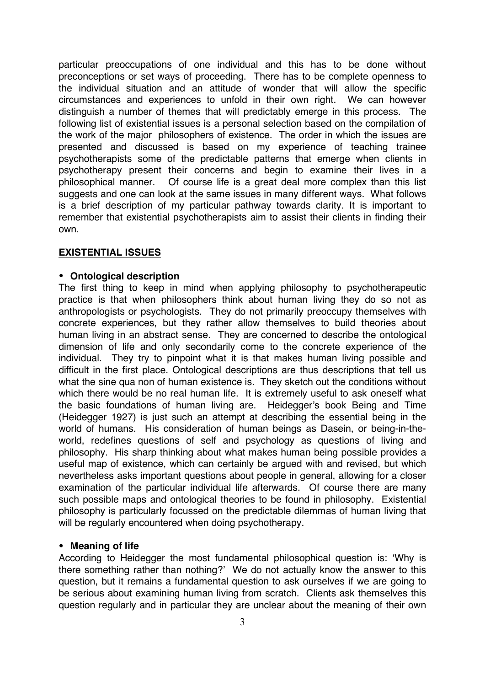particular preoccupations of one individual and this has to be done without preconceptions or set ways of proceeding. There has to be complete openness to the individual situation and an attitude of wonder that will allow the specific circumstances and experiences to unfold in their own right. We can however distinguish a number of themes that will predictably emerge in this process. The following list of existential issues is a personal selection based on the compilation of the work of the major philosophers of existence. The order in which the issues are presented and discussed is based on my experience of teaching trainee psychotherapists some of the predictable patterns that emerge when clients in psychotherapy present their concerns and begin to examine their lives in a philosophical manner. Of course life is a great deal more complex than this list suggests and one can look at the same issues in many different ways. What follows is a brief description of my particular pathway towards clarity. It is important to remember that existential psychotherapists aim to assist their clients in finding their own.

# **EXISTENTIAL ISSUES**

### • **Ontological description**

The first thing to keep in mind when applying philosophy to psychotherapeutic practice is that when philosophers think about human living they do so not as anthropologists or psychologists. They do not primarily preoccupy themselves with concrete experiences, but they rather allow themselves to build theories about human living in an abstract sense. They are concerned to describe the ontological dimension of life and only secondarily come to the concrete experience of the individual. They try to pinpoint what it is that makes human living possible and difficult in the first place. Ontological descriptions are thus descriptions that tell us what the sine qua non of human existence is. They sketch out the conditions without which there would be no real human life. It is extremely useful to ask oneself what the basic foundations of human living are. Heidegger's book Being and Time (Heidegger 1927) is just such an attempt at describing the essential being in the world of humans. His consideration of human beings as Dasein, or being-in-theworld, redefines questions of self and psychology as questions of living and philosophy. His sharp thinking about what makes human being possible provides a useful map of existence, which can certainly be argued with and revised, but which nevertheless asks important questions about people in general, allowing for a closer examination of the particular individual life afterwards. Of course there are many such possible maps and ontological theories to be found in philosophy. Existential philosophy is particularly focussed on the predictable dilemmas of human living that will be regularly encountered when doing psychotherapy.

### • **Meaning of life**

According to Heidegger the most fundamental philosophical question is: 'Why is there something rather than nothing?' We do not actually know the answer to this question, but it remains a fundamental question to ask ourselves if we are going to be serious about examining human living from scratch. Clients ask themselves this question regularly and in particular they are unclear about the meaning of their own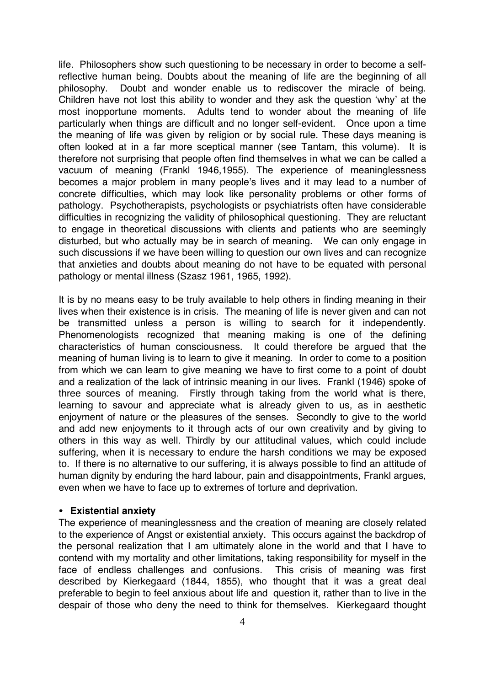life. Philosophers show such questioning to be necessary in order to become a selfreflective human being. Doubts about the meaning of life are the beginning of all philosophy. Doubt and wonder enable us to rediscover the miracle of being. Children have not lost this ability to wonder and they ask the question 'why' at the most inopportune moments. Adults tend to wonder about the meaning of life particularly when things are difficult and no longer self-evident. Once upon a time the meaning of life was given by religion or by social rule. These days meaning is often looked at in a far more sceptical manner (see Tantam, this volume). It is therefore not surprising that people often find themselves in what we can be called a vacuum of meaning (Frankl 1946,1955). The experience of meaninglessness becomes a major problem in many people's lives and it may lead to a number of concrete difficulties, which may look like personality problems or other forms of pathology. Psychotherapists, psychologists or psychiatrists often have considerable difficulties in recognizing the validity of philosophical questioning. They are reluctant to engage in theoretical discussions with clients and patients who are seemingly disturbed, but who actually may be in search of meaning. We can only engage in such discussions if we have been willing to question our own lives and can recognize that anxieties and doubts about meaning do not have to be equated with personal pathology or mental illness (Szasz 1961, 1965, 1992).

It is by no means easy to be truly available to help others in finding meaning in their lives when their existence is in crisis. The meaning of life is never given and can not be transmitted unless a person is willing to search for it independently. Phenomenologists recognized that meaning making is one of the defining characteristics of human consciousness. It could therefore be argued that the meaning of human living is to learn to give it meaning. In order to come to a position from which we can learn to give meaning we have to first come to a point of doubt and a realization of the lack of intrinsic meaning in our lives. Frankl (1946) spoke of three sources of meaning. Firstly through taking from the world what is there, learning to savour and appreciate what is already given to us, as in aesthetic enjoyment of nature or the pleasures of the senses. Secondly to give to the world and add new enjoyments to it through acts of our own creativity and by giving to others in this way as well. Thirdly by our attitudinal values, which could include suffering, when it is necessary to endure the harsh conditions we may be exposed to. If there is no alternative to our suffering, it is always possible to find an attitude of human dignity by enduring the hard labour, pain and disappointments, Frankl argues, even when we have to face up to extremes of torture and deprivation.

### • **Existential anxiety**

The experience of meaninglessness and the creation of meaning are closely related to the experience of Angst or existential anxiety. This occurs against the backdrop of the personal realization that I am ultimately alone in the world and that I have to contend with my mortality and other limitations, taking responsibility for myself in the face of endless challenges and confusions. This crisis of meaning was first described by Kierkegaard (1844, 1855), who thought that it was a great deal preferable to begin to feel anxious about life and question it, rather than to live in the despair of those who deny the need to think for themselves. Kierkegaard thought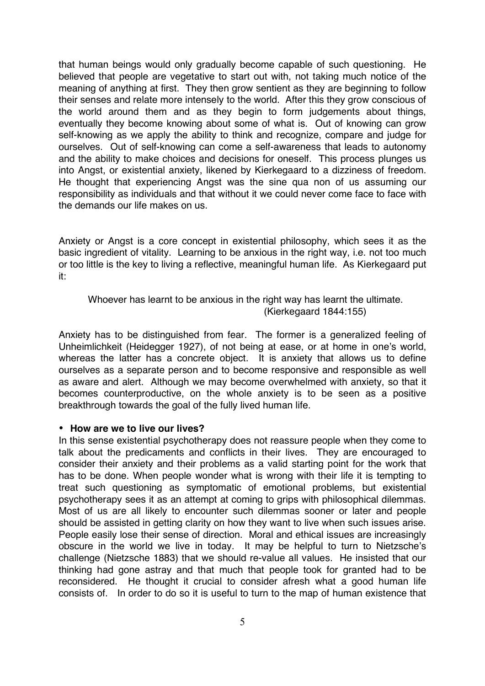that human beings would only gradually become capable of such questioning. He believed that people are vegetative to start out with, not taking much notice of the meaning of anything at first. They then grow sentient as they are beginning to follow their senses and relate more intensely to the world. After this they grow conscious of the world around them and as they begin to form judgements about things, eventually they become knowing about some of what is. Out of knowing can grow self-knowing as we apply the ability to think and recognize, compare and judge for ourselves. Out of self-knowing can come a self-awareness that leads to autonomy and the ability to make choices and decisions for oneself. This process plunges us into Angst, or existential anxiety, likened by Kierkegaard to a dizziness of freedom. He thought that experiencing Angst was the sine qua non of us assuming our responsibility as individuals and that without it we could never come face to face with the demands our life makes on us.

Anxiety or Angst is a core concept in existential philosophy, which sees it as the basic ingredient of vitality. Learning to be anxious in the right way, i.e. not too much or too little is the key to living a reflective, meaningful human life. As Kierkegaard put it:

Whoever has learnt to be anxious in the right way has learnt the ultimate. (Kierkegaard 1844:155)

Anxiety has to be distinguished from fear. The former is a generalized feeling of Unheimlichkeit (Heidegger 1927), of not being at ease, or at home in one's world, whereas the latter has a concrete object. It is anxiety that allows us to define ourselves as a separate person and to become responsive and responsible as well as aware and alert. Although we may become overwhelmed with anxiety, so that it becomes counterproductive, on the whole anxiety is to be seen as a positive breakthrough towards the goal of the fully lived human life.

### • **How are we to live our lives?**

In this sense existential psychotherapy does not reassure people when they come to talk about the predicaments and conflicts in their lives. They are encouraged to consider their anxiety and their problems as a valid starting point for the work that has to be done. When people wonder what is wrong with their life it is tempting to treat such questioning as symptomatic of emotional problems, but existential psychotherapy sees it as an attempt at coming to grips with philosophical dilemmas. Most of us are all likely to encounter such dilemmas sooner or later and people should be assisted in getting clarity on how they want to live when such issues arise. People easily lose their sense of direction. Moral and ethical issues are increasingly obscure in the world we live in today. It may be helpful to turn to Nietzsche's challenge (Nietzsche 1883) that we should re-value all values. He insisted that our thinking had gone astray and that much that people took for granted had to be reconsidered. He thought it crucial to consider afresh what a good human life consists of. In order to do so it is useful to turn to the map of human existence that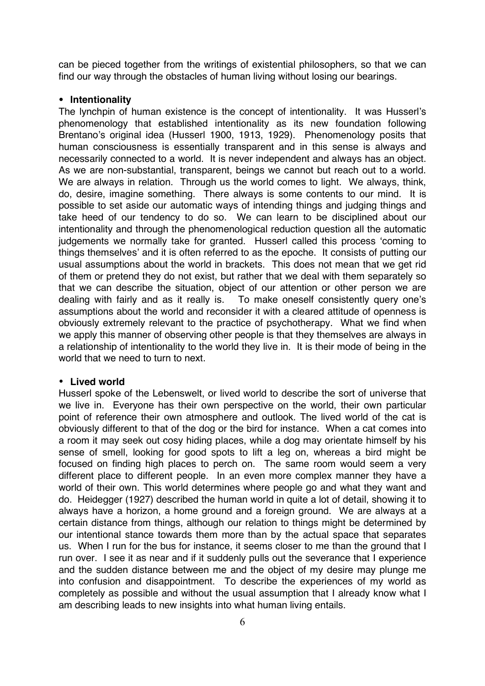can be pieced together from the writings of existential philosophers, so that we can find our way through the obstacles of human living without losing our bearings.

# • **Intentionality**

The lynchpin of human existence is the concept of intentionality. It was Husserl's phenomenology that established intentionality as its new foundation following Brentano's original idea (Husserl 1900, 1913, 1929). Phenomenology posits that human consciousness is essentially transparent and in this sense is always and necessarily connected to a world. It is never independent and always has an object. As we are non-substantial, transparent, beings we cannot but reach out to a world. We are always in relation. Through us the world comes to light. We always, think, do, desire, imagine something. There always is some contents to our mind. It is possible to set aside our automatic ways of intending things and judging things and take heed of our tendency to do so. We can learn to be disciplined about our intentionality and through the phenomenological reduction question all the automatic judgements we normally take for granted. Husserl called this process 'coming to things themselves' and it is often referred to as the epoche. It consists of putting our usual assumptions about the world in brackets. This does not mean that we get rid of them or pretend they do not exist, but rather that we deal with them separately so that we can describe the situation, object of our attention or other person we are dealing with fairly and as it really is. To make oneself consistently query one's assumptions about the world and reconsider it with a cleared attitude of openness is obviously extremely relevant to the practice of psychotherapy. What we find when we apply this manner of observing other people is that they themselves are always in a relationship of intentionality to the world they live in. It is their mode of being in the world that we need to turn to next.

### • **Lived world**

Husserl spoke of the Lebenswelt, or lived world to describe the sort of universe that we live in. Everyone has their own perspective on the world, their own particular point of reference their own atmosphere and outlook. The lived world of the cat is obviously different to that of the dog or the bird for instance. When a cat comes into a room it may seek out cosy hiding places, while a dog may orientate himself by his sense of smell, looking for good spots to lift a leg on, whereas a bird might be focused on finding high places to perch on. The same room would seem a very different place to different people. In an even more complex manner they have a world of their own. This world determines where people go and what they want and do. Heidegger (1927) described the human world in quite a lot of detail, showing it to always have a horizon, a home ground and a foreign ground. We are always at a certain distance from things, although our relation to things might be determined by our intentional stance towards them more than by the actual space that separates us. When I run for the bus for instance, it seems closer to me than the ground that I run over. I see it as near and if it suddenly pulls out the severance that I experience and the sudden distance between me and the object of my desire may plunge me into confusion and disappointment. To describe the experiences of my world as completely as possible and without the usual assumption that I already know what I am describing leads to new insights into what human living entails.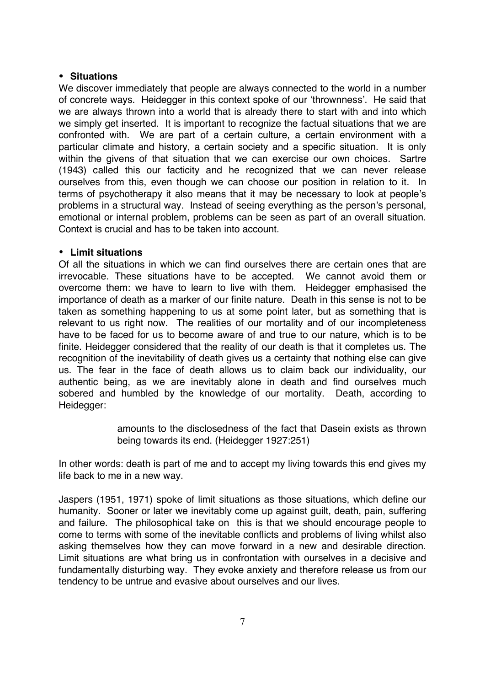# • **Situations**

We discover immediately that people are always connected to the world in a number of concrete ways. Heidegger in this context spoke of our 'thrownness'. He said that we are always thrown into a world that is already there to start with and into which we simply get inserted. It is important to recognize the factual situations that we are confronted with. We are part of a certain culture, a certain environment with a particular climate and history, a certain society and a specific situation. It is only within the givens of that situation that we can exercise our own choices. Sartre (1943) called this our facticity and he recognized that we can never release ourselves from this, even though we can choose our position in relation to it. In terms of psychotherapy it also means that it may be necessary to look at people's problems in a structural way. Instead of seeing everything as the person's personal, emotional or internal problem, problems can be seen as part of an overall situation. Context is crucial and has to be taken into account.

# • **Limit situations**

Of all the situations in which we can find ourselves there are certain ones that are irrevocable. These situations have to be accepted. We cannot avoid them or overcome them: we have to learn to live with them. Heidegger emphasised the importance of death as a marker of our finite nature. Death in this sense is not to be taken as something happening to us at some point later, but as something that is relevant to us right now. The realities of our mortality and of our incompleteness have to be faced for us to become aware of and true to our nature, which is to be finite. Heidegger considered that the reality of our death is that it completes us. The recognition of the inevitability of death gives us a certainty that nothing else can give us. The fear in the face of death allows us to claim back our individuality, our authentic being, as we are inevitably alone in death and find ourselves much sobered and humbled by the knowledge of our mortality. Death, according to Heidegger:

> amounts to the disclosedness of the fact that Dasein exists as thrown being towards its end. (Heidegger 1927:251)

In other words: death is part of me and to accept my living towards this end gives my life back to me in a new way.

Jaspers (1951, 1971) spoke of limit situations as those situations, which define our humanity. Sooner or later we inevitably come up against guilt, death, pain, suffering and failure. The philosophical take on this is that we should encourage people to come to terms with some of the inevitable conflicts and problems of living whilst also asking themselves how they can move forward in a new and desirable direction. Limit situations are what bring us in confrontation with ourselves in a decisive and fundamentally disturbing way. They evoke anxiety and therefore release us from our tendency to be untrue and evasive about ourselves and our lives.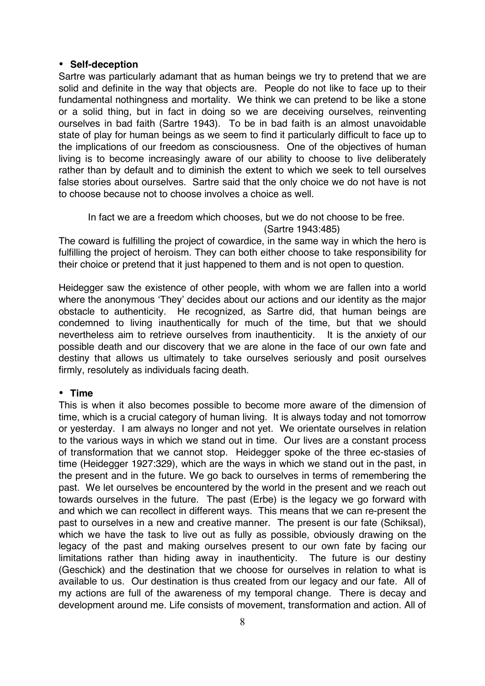### • **Self-deception**

Sartre was particularly adamant that as human beings we try to pretend that we are solid and definite in the way that objects are. People do not like to face up to their fundamental nothingness and mortality. We think we can pretend to be like a stone or a solid thing, but in fact in doing so we are deceiving ourselves, reinventing ourselves in bad faith (Sartre 1943). To be in bad faith is an almost unavoidable state of play for human beings as we seem to find it particularly difficult to face up to the implications of our freedom as consciousness. One of the objectives of human living is to become increasingly aware of our ability to choose to live deliberately rather than by default and to diminish the extent to which we seek to tell ourselves false stories about ourselves. Sartre said that the only choice we do not have is not to choose because not to choose involves a choice as well.

In fact we are a freedom which chooses, but we do not choose to be free.

#### (Sartre 1943:485)

The coward is fulfilling the project of cowardice, in the same way in which the hero is fulfilling the project of heroism. They can both either choose to take responsibility for their choice or pretend that it just happened to them and is not open to question.

Heidegger saw the existence of other people, with whom we are fallen into a world where the anonymous 'They' decides about our actions and our identity as the major obstacle to authenticity. He recognized, as Sartre did, that human beings are condemned to living inauthentically for much of the time, but that we should nevertheless aim to retrieve ourselves from inauthenticity. It is the anxiety of our possible death and our discovery that we are alone in the face of our own fate and destiny that allows us ultimately to take ourselves seriously and posit ourselves firmly, resolutely as individuals facing death.

### • **Time**

This is when it also becomes possible to become more aware of the dimension of time, which is a crucial category of human living. It is always today and not tomorrow or yesterday. I am always no longer and not yet. We orientate ourselves in relation to the various ways in which we stand out in time. Our lives are a constant process of transformation that we cannot stop. Heidegger spoke of the three ec-stasies of time (Heidegger 1927:329), which are the ways in which we stand out in the past, in the present and in the future. We go back to ourselves in terms of remembering the past. We let ourselves be encountered by the world in the present and we reach out towards ourselves in the future. The past (Erbe) is the legacy we go forward with and which we can recollect in different ways. This means that we can re-present the past to ourselves in a new and creative manner. The present is our fate (Schiksal), which we have the task to live out as fully as possible, obviously drawing on the legacy of the past and making ourselves present to our own fate by facing our limitations rather than hiding away in inauthenticity. The future is our destiny (Geschick) and the destination that we choose for ourselves in relation to what is available to us. Our destination is thus created from our legacy and our fate. All of my actions are full of the awareness of my temporal change. There is decay and development around me. Life consists of movement, transformation and action. All of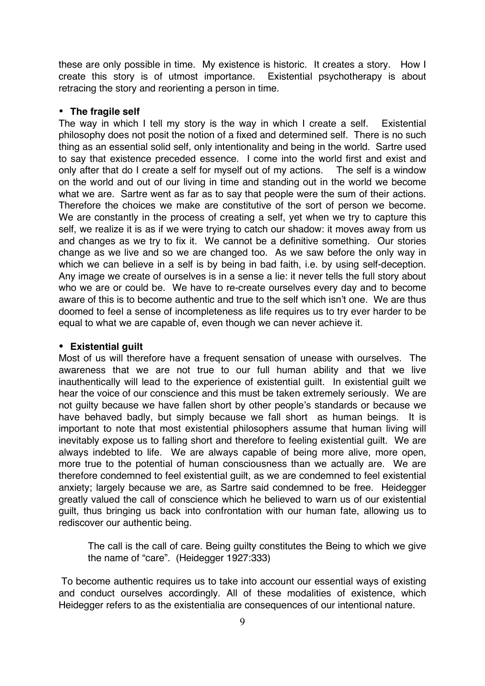these are only possible in time. My existence is historic. It creates a story. How I create this story is of utmost importance. Existential psychotherapy is about retracing the story and reorienting a person in time.

#### • **The fragile self**

The way in which I tell my story is the way in which I create a self. Existential philosophy does not posit the notion of a fixed and determined self. There is no such thing as an essential solid self, only intentionality and being in the world. Sartre used to say that existence preceded essence. I come into the world first and exist and only after that do I create a self for myself out of my actions. The self is a window on the world and out of our living in time and standing out in the world we become what we are. Sartre went as far as to say that people were the sum of their actions. Therefore the choices we make are constitutive of the sort of person we become. We are constantly in the process of creating a self, yet when we try to capture this self, we realize it is as if we were trying to catch our shadow: it moves away from us and changes as we try to fix it. We cannot be a definitive something. Our stories change as we live and so we are changed too. As we saw before the only way in which we can believe in a self is by being in bad faith, i.e. by using self-deception. Any image we create of ourselves is in a sense a lie: it never tells the full story about who we are or could be. We have to re-create ourselves every day and to become aware of this is to become authentic and true to the self which isn't one. We are thus doomed to feel a sense of incompleteness as life requires us to try ever harder to be equal to what we are capable of, even though we can never achieve it.

### • **Existential guilt**

Most of us will therefore have a frequent sensation of unease with ourselves. The awareness that we are not true to our full human ability and that we live inauthentically will lead to the experience of existential guilt. In existential guilt we hear the voice of our conscience and this must be taken extremely seriously. We are not guilty because we have fallen short by other people's standards or because we have behaved badly, but simply because we fall short as human beings. It is important to note that most existential philosophers assume that human living will inevitably expose us to falling short and therefore to feeling existential guilt. We are always indebted to life. We are always capable of being more alive, more open, more true to the potential of human consciousness than we actually are. We are therefore condemned to feel existential guilt, as we are condemned to feel existential anxiety; largely because we are, as Sartre said condemned to be free. Heidegger greatly valued the call of conscience which he believed to warn us of our existential guilt, thus bringing us back into confrontation with our human fate, allowing us to rediscover our authentic being.

The call is the call of care. Being guilty constitutes the Being to which we give the name of "care". (Heidegger 1927:333)

To become authentic requires us to take into account our essential ways of existing and conduct ourselves accordingly. All of these modalities of existence, which Heidegger refers to as the existentialia are consequences of our intentional nature.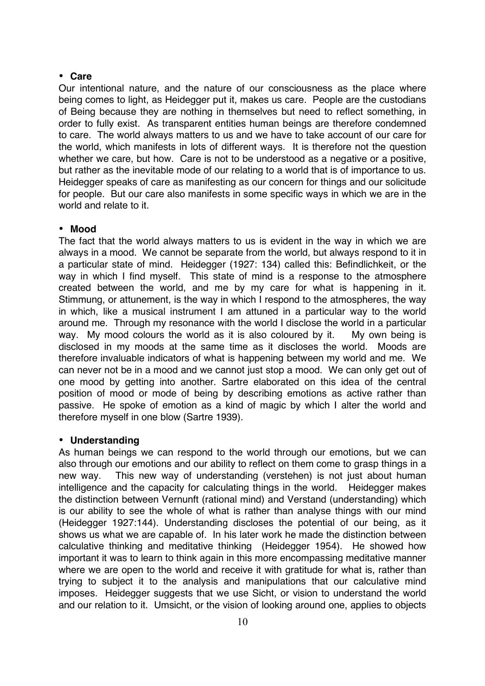# • **Care**

Our intentional nature, and the nature of our consciousness as the place where being comes to light, as Heidegger put it, makes us care. People are the custodians of Being because they are nothing in themselves but need to reflect something, in order to fully exist. As transparent entities human beings are therefore condemned to care. The world always matters to us and we have to take account of our care for the world, which manifests in lots of different ways. It is therefore not the question whether we care, but how. Care is not to be understood as a negative or a positive, but rather as the inevitable mode of our relating to a world that is of importance to us. Heidegger speaks of care as manifesting as our concern for things and our solicitude for people. But our care also manifests in some specific ways in which we are in the world and relate to it.

# • **Mood**

The fact that the world always matters to us is evident in the way in which we are always in a mood. We cannot be separate from the world, but always respond to it in a particular state of mind. Heidegger (1927: 134) called this: Befindlichkeit, or the way in which I find myself. This state of mind is a response to the atmosphere created between the world, and me by my care for what is happening in it. Stimmung, or attunement, is the way in which I respond to the atmospheres, the way in which, like a musical instrument I am attuned in a particular way to the world around me. Through my resonance with the world I disclose the world in a particular way. My mood colours the world as it is also coloured by it. My own being is disclosed in my moods at the same time as it discloses the world. Moods are therefore invaluable indicators of what is happening between my world and me. We can never not be in a mood and we cannot just stop a mood. We can only get out of one mood by getting into another. Sartre elaborated on this idea of the central position of mood or mode of being by describing emotions as active rather than passive. He spoke of emotion as a kind of magic by which I alter the world and therefore myself in one blow (Sartre 1939).

### • **Understanding**

As human beings we can respond to the world through our emotions, but we can also through our emotions and our ability to reflect on them come to grasp things in a new way. This new way of understanding (verstehen) is not just about human intelligence and the capacity for calculating things in the world. Heidegger makes the distinction between Vernunft (rational mind) and Verstand (understanding) which is our ability to see the whole of what is rather than analyse things with our mind (Heidegger 1927:144). Understanding discloses the potential of our being, as it shows us what we are capable of. In his later work he made the distinction between calculative thinking and meditative thinking (Heidegger 1954). He showed how important it was to learn to think again in this more encompassing meditative manner where we are open to the world and receive it with gratitude for what is, rather than trying to subject it to the analysis and manipulations that our calculative mind imposes. Heidegger suggests that we use Sicht, or vision to understand the world and our relation to it. Umsicht, or the vision of looking around one, applies to objects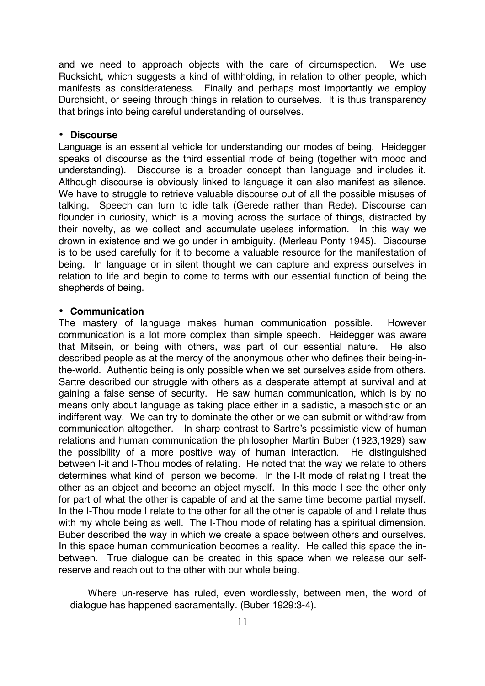and we need to approach objects with the care of circumspection. We use Rucksicht, which suggests a kind of withholding, in relation to other people, which manifests as considerateness. Finally and perhaps most importantly we employ Durchsicht, or seeing through things in relation to ourselves. It is thus transparency that brings into being careful understanding of ourselves.

#### • **Discourse**

Language is an essential vehicle for understanding our modes of being. Heidegger speaks of discourse as the third essential mode of being (together with mood and understanding). Discourse is a broader concept than language and includes it. Although discourse is obviously linked to language it can also manifest as silence. We have to struggle to retrieve valuable discourse out of all the possible misuses of talking. Speech can turn to idle talk (Gerede rather than Rede). Discourse can flounder in curiosity, which is a moving across the surface of things, distracted by their novelty, as we collect and accumulate useless information. In this way we drown in existence and we go under in ambiguity. (Merleau Ponty 1945). Discourse is to be used carefully for it to become a valuable resource for the manifestation of being. In language or in silent thought we can capture and express ourselves in relation to life and begin to come to terms with our essential function of being the shepherds of being.

#### • **Communication**

The mastery of language makes human communication possible. However communication is a lot more complex than simple speech. Heidegger was aware that Mitsein, or being with others, was part of our essential nature. He also described people as at the mercy of the anonymous other who defines their being-inthe-world. Authentic being is only possible when we set ourselves aside from others. Sartre described our struggle with others as a desperate attempt at survival and at gaining a false sense of security. He saw human communication, which is by no means only about language as taking place either in a sadistic, a masochistic or an indifferent way. We can try to dominate the other or we can submit or withdraw from communication altogether. In sharp contrast to Sartre's pessimistic view of human relations and human communication the philosopher Martin Buber (1923,1929) saw the possibility of a more positive way of human interaction. He distinguished between I-it and I-Thou modes of relating. He noted that the way we relate to others determines what kind of person we become. In the I-It mode of relating I treat the other as an object and become an object myself. In this mode I see the other only for part of what the other is capable of and at the same time become partial myself. In the I-Thou mode I relate to the other for all the other is capable of and I relate thus with my whole being as well. The I-Thou mode of relating has a spiritual dimension. Buber described the way in which we create a space between others and ourselves. In this space human communication becomes a reality. He called this space the inbetween. True dialogue can be created in this space when we release our selfreserve and reach out to the other with our whole being.

Where un-reserve has ruled, even wordlessly, between men, the word of dialogue has happened sacramentally. (Buber 1929:3-4).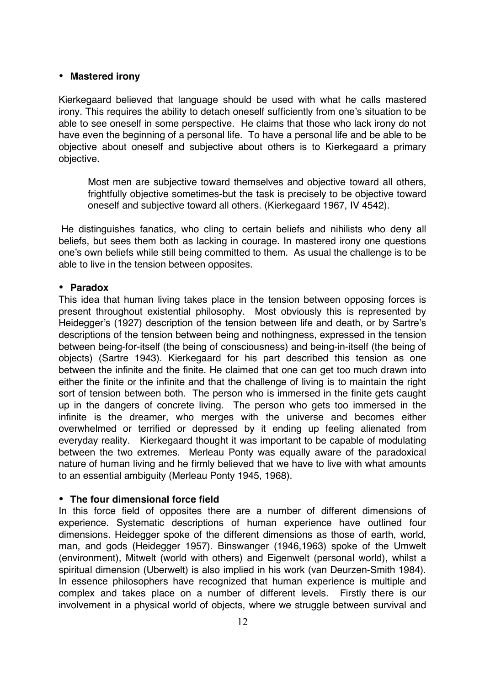# • **Mastered irony**

Kierkegaard believed that language should be used with what he calls mastered irony. This requires the ability to detach oneself sufficiently from one's situation to be able to see oneself in some perspective. He claims that those who lack irony do not have even the beginning of a personal life. To have a personal life and be able to be objective about oneself and subjective about others is to Kierkegaard a primary objective.

Most men are subjective toward themselves and objective toward all others, frightfully objective sometimes-but the task is precisely to be objective toward oneself and subjective toward all others. (Kierkegaard 1967, IV 4542).

He distinguishes fanatics, who cling to certain beliefs and nihilists who deny all beliefs, but sees them both as lacking in courage. In mastered irony one questions one's own beliefs while still being committed to them. As usual the challenge is to be able to live in the tension between opposites.

### • **Paradox**

This idea that human living takes place in the tension between opposing forces is present throughout existential philosophy. Most obviously this is represented by Heidegger's (1927) description of the tension between life and death, or by Sartre's descriptions of the tension between being and nothingness, expressed in the tension between being-for-itself (the being of consciousness) and being-in-itself (the being of objects) (Sartre 1943). Kierkegaard for his part described this tension as one between the infinite and the finite. He claimed that one can get too much drawn into either the finite or the infinite and that the challenge of living is to maintain the right sort of tension between both. The person who is immersed in the finite gets caught up in the dangers of concrete living. The person who gets too immersed in the infinite is the dreamer, who merges with the universe and becomes either overwhelmed or terrified or depressed by it ending up feeling alienated from everyday reality. Kierkegaard thought it was important to be capable of modulating between the two extremes. Merleau Ponty was equally aware of the paradoxical nature of human living and he firmly believed that we have to live with what amounts to an essential ambiguity (Merleau Ponty 1945, 1968).

# • **The four dimensional force field**

In this force field of opposites there are a number of different dimensions of experience. Systematic descriptions of human experience have outlined four dimensions. Heidegger spoke of the different dimensions as those of earth, world, man, and gods (Heidegger 1957). Binswanger (1946,1963) spoke of the Umwelt (environment), Mitwelt (world with others) and Eigenwelt (personal world), whilst a spiritual dimension (Uberwelt) is also implied in his work (van Deurzen-Smith 1984). In essence philosophers have recognized that human experience is multiple and complex and takes place on a number of different levels. Firstly there is our involvement in a physical world of objects, where we struggle between survival and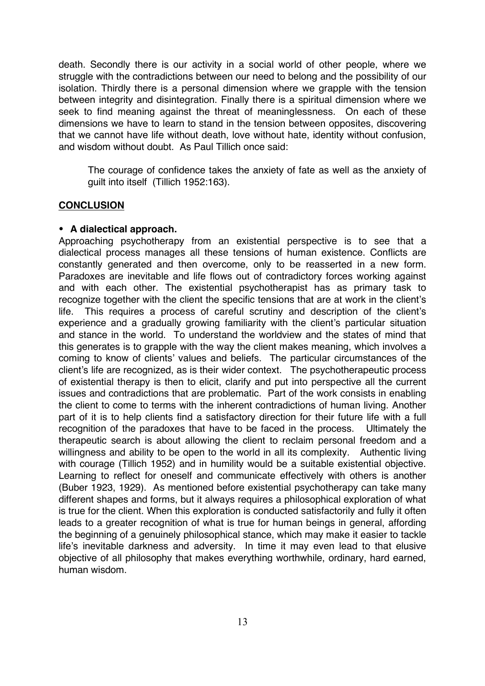death. Secondly there is our activity in a social world of other people, where we struggle with the contradictions between our need to belong and the possibility of our isolation. Thirdly there is a personal dimension where we grapple with the tension between integrity and disintegration. Finally there is a spiritual dimension where we seek to find meaning against the threat of meaninglessness. On each of these dimensions we have to learn to stand in the tension between opposites, discovering that we cannot have life without death, love without hate, identity without confusion, and wisdom without doubt. As Paul Tillich once said:

The courage of confidence takes the anxiety of fate as well as the anxiety of guilt into itself (Tillich 1952:163).

#### **CONCLUSION**

#### • **A dialectical approach.**

Approaching psychotherapy from an existential perspective is to see that a dialectical process manages all these tensions of human existence. Conflicts are constantly generated and then overcome, only to be reasserted in a new form. Paradoxes are inevitable and life flows out of contradictory forces working against and with each other. The existential psychotherapist has as primary task to recognize together with the client the specific tensions that are at work in the client's life. This requires a process of careful scrutiny and description of the client's experience and a gradually growing familiarity with the client's particular situation and stance in the world. To understand the worldview and the states of mind that this generates is to grapple with the way the client makes meaning, which involves a coming to know of clients' values and beliefs. The particular circumstances of the client's life are recognized, as is their wider context. The psychotherapeutic process of existential therapy is then to elicit, clarify and put into perspective all the current issues and contradictions that are problematic. Part of the work consists in enabling the client to come to terms with the inherent contradictions of human living. Another part of it is to help clients find a satisfactory direction for their future life with a full recognition of the paradoxes that have to be faced in the process. Ultimately the therapeutic search is about allowing the client to reclaim personal freedom and a willingness and ability to be open to the world in all its complexity. Authentic living with courage (Tillich 1952) and in humility would be a suitable existential objective. Learning to reflect for oneself and communicate effectively with others is another (Buber 1923, 1929). As mentioned before existential psychotherapy can take many different shapes and forms, but it always requires a philosophical exploration of what is true for the client. When this exploration is conducted satisfactorily and fully it often leads to a greater recognition of what is true for human beings in general, affording the beginning of a genuinely philosophical stance, which may make it easier to tackle life's inevitable darkness and adversity. In time it may even lead to that elusive objective of all philosophy that makes everything worthwhile, ordinary, hard earned, human wisdom.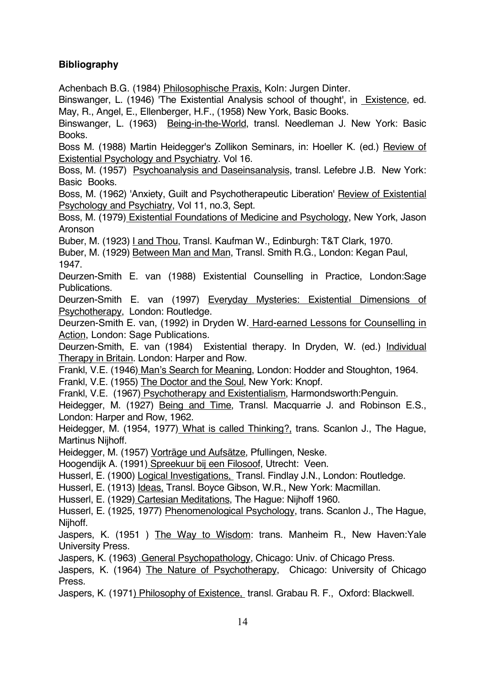# **Bibliography**

Achenbach B.G. (1984) Philosophische Praxis, Koln: Jurgen Dinter.

Binswanger, L. (1946) 'The Existential Analysis school of thought', in Existence, ed. May, R., Angel, E., Ellenberger, H.F., (1958) New York, Basic Books.

Binswanger, L. (1963) Being-in-the-World, transl. Needleman J. New York: Basic Books.

Boss M. (1988) Martin Heidegger's Zollikon Seminars, in: Hoeller K. (ed.) Review of Existential Psychology and Psychiatry. Vol 16.

Boss, M. (1957) Psychoanalysis and Daseinsanalysis, transl. Lefebre J.B. New York: Basic Books.

Boss, M. (1962) 'Anxiety, Guilt and Psychotherapeutic Liberation' Review of Existential Psychology and Psychiatry, Vol 11, no.3, Sept.

Boss, M. (1979) Existential Foundations of Medicine and Psychology, New York, Jason Aronson

Buber, M. (1923) I and Thou, Transl. Kaufman W., Edinburgh: T&T Clark, 1970.

Buber, M. (1929) Between Man and Man, Transl. Smith R.G., London: Kegan Paul, 1947.

Deurzen-Smith E. van (1988) Existential Counselling in Practice, London:Sage Publications.

Deurzen-Smith E. van (1997) Everyday Mysteries: Existential Dimensions of Psychotherapy, London: Routledge.

Deurzen-Smith E. van, (1992) in Dryden W. Hard-earned Lessons for Counselling in Action, London: Sage Publications.

Deurzen-Smith, E. van (1984) Existential therapy. In Dryden, W. (ed.) Individual Therapy in Britain. London: Harper and Row.

Frankl, V.E. (1946) Man's Search for Meaning, London: Hodder and Stoughton, 1964.

Frankl, V.E. (1955) The Doctor and the Soul, New York: Knopf.

Frankl, V.E. (1967) Psychotherapy and Existentialism, Harmondsworth:Penguin.

Heidegger, M. (1927) Being and Time, Transl. Macquarrie J. and Robinson E.S., London: Harper and Row, 1962.

Heidegger, M. (1954, 1977) What is called Thinking?, trans. Scanlon J., The Hague, Martinus Nijhoff.

Heidegger, M. (1957) Vorträge und Aufsätze, Pfullingen, Neske.

Hoogendijk A. (1991) Spreekuur bij een Filosoof, Utrecht: Veen.

Husserl, E. (1900) Logical Investigations, Transl. Findlay J.N., London: Routledge.

Husserl, E. (1913) Ideas, Transl. Boyce Gibson, W.R., New York: Macmillan.

Husserl, E. (1929) Cartesian Meditations, The Hague: Nijhoff 1960.

Husserl, E. (1925, 1977) Phenomenological Psychology, trans. Scanlon J., The Hague, Nijhoff.

Jaspers, K. (1951 ) The Way to Wisdom: trans. Manheim R., New Haven:Yale University Press.

Jaspers, K. (1963) General Psychopathology, Chicago: Univ. of Chicago Press.

Jaspers, K. (1964) The Nature of Psychotherapy, Chicago: University of Chicago Press.

Jaspers, K. (1971) Philosophy of Existence, transl. Grabau R. F., Oxford: Blackwell.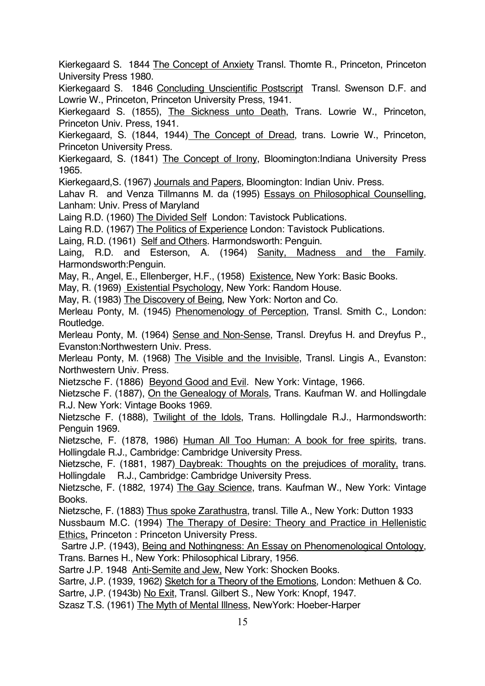Kierkegaard S. 1844 The Concept of Anxiety Transl. Thomte R., Princeton, Princeton University Press 1980.

Kierkegaard S. 1846 Concluding Unscientific Postscript Transl. Swenson D.F. and Lowrie W., Princeton, Princeton University Press, 1941.

Kierkegaard S. (1855), The Sickness unto Death, Trans. Lowrie W., Princeton, Princeton Univ. Press, 1941.

Kierkegaard, S. (1844, 1944) The Concept of Dread, trans. Lowrie W., Princeton, Princeton University Press.

Kierkegaard, S. (1841) The Concept of Irony, Bloomington:Indiana University Press 1965.

Kierkegaard,S. (1967) Journals and Papers, Bloomington: Indian Univ. Press.

Lahav R. and Venza Tillmanns M. da (1995) Essays on Philosophical Counselling, Lanham: Univ. Press of Maryland

Laing R.D. (1960) The Divided Self London: Tavistock Publications.

Laing R.D. (1967) The Politics of Experience London: Tavistock Publications.

Laing, R.D. (1961) Self and Others. Harmondsworth: Penguin.

Laing, R.D. and Esterson, A. (1964) Sanity, Madness and the Family. Harmondsworth:Penguin.

May, R., Angel, E., Ellenberger, H.F., (1958) Existence, New York: Basic Books.

May, R. (1969) Existential Psychology, New York: Random House.

May, R. (1983) The Discovery of Being, New York: Norton and Co.

Merleau Ponty, M. (1945) Phenomenology of Perception, Transl. Smith C., London: Routledge.

Merleau Ponty, M. (1964) Sense and Non-Sense, Transl. Dreyfus H. and Dreyfus P., Evanston:Northwestern Univ. Press.

Merleau Ponty, M. (1968) The Visible and the Invisible, Transl. Lingis A., Evanston: Northwestern Univ. Press.

Nietzsche F. (1886) Beyond Good and Evil. New York: Vintage, 1966.

Nietzsche F. (1887), On the Genealogy of Morals, Trans. Kaufman W. and Hollingdale R.J. New York: Vintage Books 1969.

Nietzsche F. (1888), Twilight of the Idols, Trans. Hollingdale R.J., Harmondsworth: Penguin 1969.

Nietzsche, F. (1878, 1986) Human All Too Human: A book for free spirits, trans. Hollingdale R.J., Cambridge: Cambridge University Press.

Nietzsche, F. (1881, 1987) Daybreak: Thoughts on the prejudices of morality, trans. Hollingdale R.J., Cambridge: Cambridge University Press.

Nietzsche, F. (1882, 1974) The Gay Science, trans. Kaufman W., New York: Vintage Books.

Nietzsche, F. (1883) Thus spoke Zarathustra, transl. Tille A., New York: Dutton 1933

Nussbaum M.C. (1994) The Therapy of Desire: Theory and Practice in Hellenistic Ethics, Princeton : Princeton University Press.

Sartre J.P. (1943), Being and Nothingness: An Essay on Phenomenological Ontology, Trans. Barnes H., New York: Philosophical Library, 1956.

Sartre J.P. 1948 Anti-Semite and Jew, New York: Shocken Books.

Sartre, J.P. (1939, 1962) Sketch for a Theory of the Emotions, London: Methuen & Co.

Sartre, J.P. (1943b) No Exit, Transl. Gilbert S., New York: Knopf, 1947.

Szasz T.S. (1961) The Myth of Mental Illness, NewYork: Hoeber-Harper